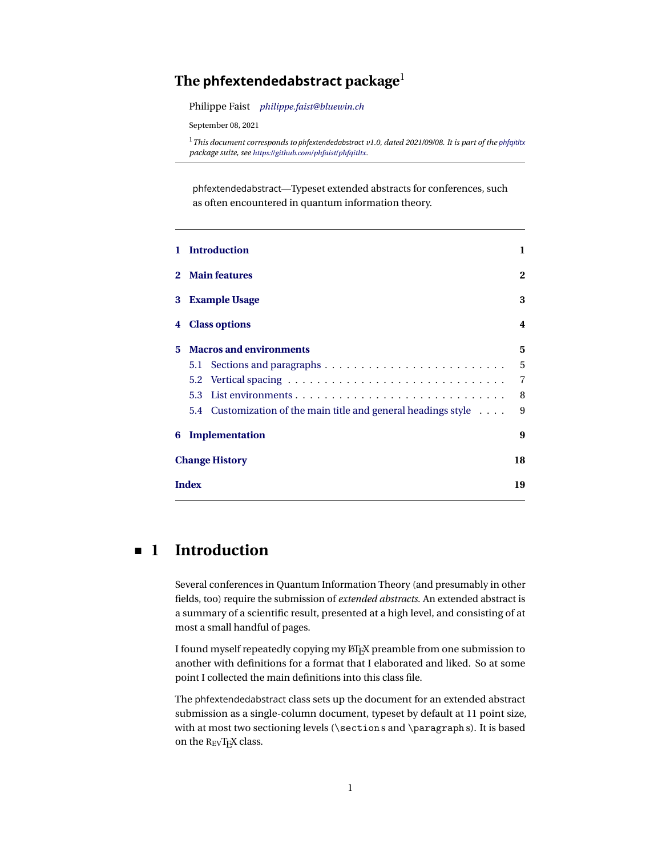### <span id="page-0-1"></span>**The phfextendedabstract package**<sup>1</sup>

Philippe Faist *[philippe.faist@bluewin.ch](mailto:philippe.faist@bluewin.ch)*

September 08, 2021

<sup>1</sup>*This document corresponds to phfextendedabstract v1.0, dated 2021/09/08. It is part of the [phfqitltx](https://github.com/phfaist/phfqitltx/) package suite, see <https://github.com/phfaist/phfqitltx>.*

phfextendedabstract—Typeset extended abstracts for conferences, such as often encountered in quantum information theory.

|             | <b>Introduction</b>                                            | 1              |
|-------------|----------------------------------------------------------------|----------------|
| $2^{\circ}$ | <b>Main features</b>                                           | 2              |
| 3           | <b>Example Usage</b>                                           | 3              |
| 4           | <b>Class options</b>                                           | 4              |
| 5           | <b>Macros and environments</b>                                 | 5              |
|             | 5.1                                                            | 5              |
|             | 5.2                                                            | $\overline{7}$ |
|             | 5.3                                                            | 8              |
|             | 5.4 Customization of the main title and general headings style | 9              |
| 6           | Implementation                                                 | 9              |
|             | <b>Change History</b>                                          | 18             |
|             | <b>Index</b>                                                   | 19             |

## <span id="page-0-0"></span>**1 Introduction**

Several conferences in Quantum Information Theory (and presumably in other fields, too) require the submission of *extended abstracts*. An extended abstract is a summary of a scientific result, presented at a high level, and consisting of at most a small handful of pages.

I found myself repeatedly copying my LATEX preamble from one submission to another with definitions for a format that I elaborated and liked. So at some point I collected the main definitions into this class file.

The phfextendedabstract class sets up the document for an extended abstract submission as a single-column document, typeset by default at 11 point size, with at most two sectioning levels (\section s and \paragraph s). It is based on the REVTEX class.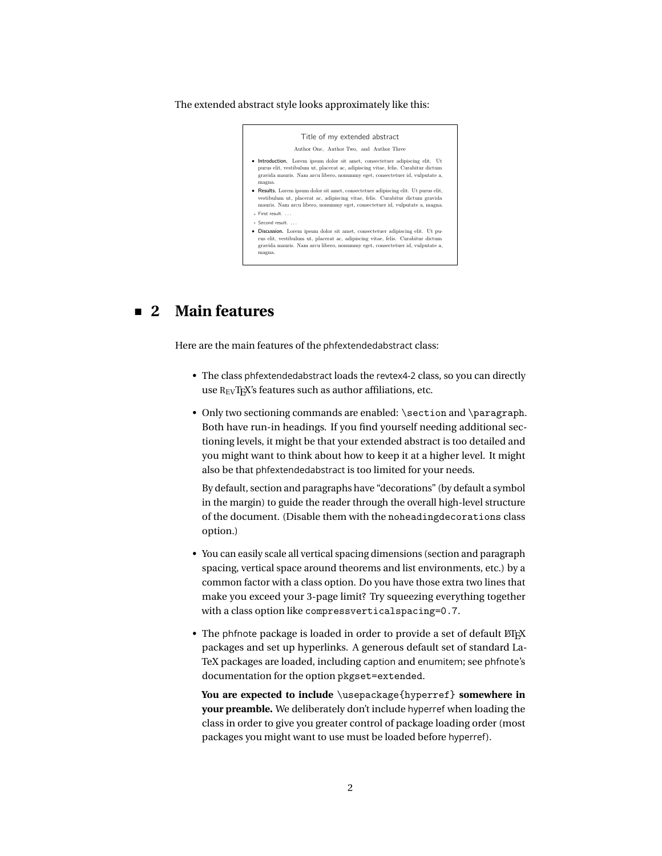#### <span id="page-1-1"></span>The extended abstract style looks approximately like this:

Title of my extended abstract Author One, Author Two, and Author Three Introduction. Lorem ipsum dolor sit amet, consectetuer adipiscing elit. Ut purus elit, vestibulum ut, placerat ac, adipiscing vitae, felis. Curabitur dictum gravida mauris. Nam arcu libero, nonummy eget, consectetuer id, vulputate a, magna.  $\bullet~$  Results. Lorem ipsum dolor sit amet, consectetuer adipiscing elit. Ut purus elit, vestibulum ut, placerat ac, adipiscing vitae, felis. Curabitur dictum gravida mauris. Nam arcu libero, nonummy eget, consectetuer id, vulputate a, magna. . First result. . . . . Second result. . . .  $\bullet$  Discussion. Lorem ipsum dolor sit amet, consectetuer adipiscing elit. Ut puris elit, vestibulum ut, placerat ac, adipiscing vitae, felis. Curabitur dictum gravida mauris. Nam arcu libero, nonummy eget, consectetuer id, vulputate a, magna.

## <span id="page-1-0"></span>**2 Main features**

Here are the main features of the phfextendedabstract class:

- The class phfextendedabstract loads the revtex4-2 class, so you can directly use REVTEX's features such as author affiliations, etc.
- Only two sectioning commands are enabled: \section and \paragraph. Both have run-in headings. If you find yourself needing additional sectioning levels, it might be that your extended abstract is too detailed and you might want to think about how to keep it at a higher level. It might also be that phfextendedabstract is too limited for your needs.

By default, section and paragraphs have "decorations" (by default a symbol in the margin) to guide the reader through the overall high-level structure of the document. (Disable them with the noheadingdecorations class option.)

- You can easily scale all vertical spacing dimensions (section and paragraph spacing, vertical space around theorems and list environments, etc.) by a common factor with a class option. Do you have those extra two lines that make you exceed your 3-page limit? Try squeezing everything together with a class option like compressverticalspacing=0.7.
- The phfnote package is loaded in order to provide a set of default  $E/FX$ packages and set up hyperlinks. A generous default set of standard La-TeX packages are loaded, including caption and enumitem; see phfnote's documentation for the option pkgset=extended.

**You are expected to include** \usepackage{hyperref} **somewhere in your preamble.** We deliberately don't include hyperref when loading the class in order to give you greater control of package loading order (most packages you might want to use must be loaded before hyperref).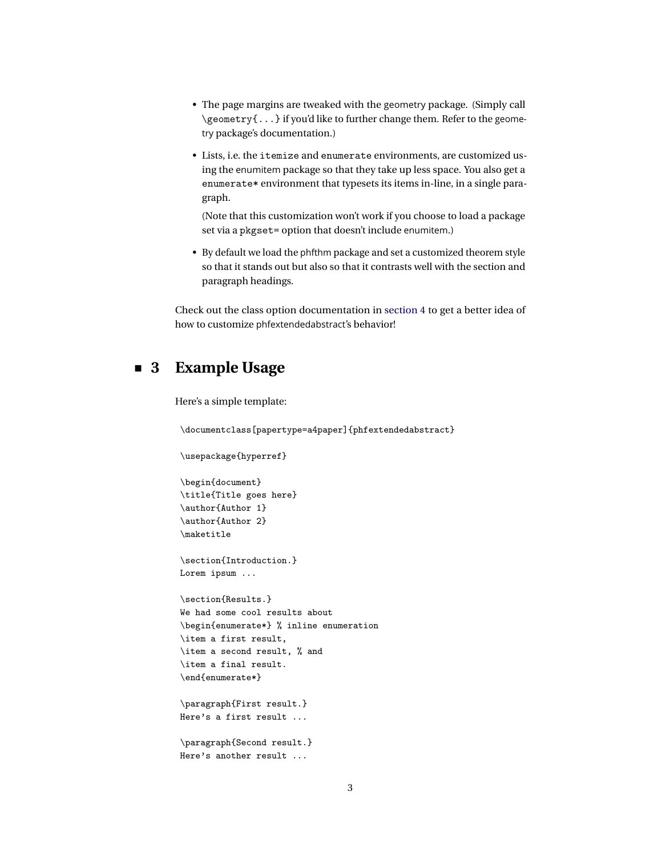- <span id="page-2-1"></span>• The page margins are tweaked with the geometry package. (Simply call \geometry{...} if you'd like to further change them. Refer to the geometry package's documentation.)
- Lists, i.e. the itemize and enumerate environments, are customized using the enumitem package so that they take up less space. You also get a enumerate\* environment that typesets its items in-line, in a single paragraph.

(Note that this customization won't work if you choose to load a package set via a pkgset= option that doesn't include enumitem.)

• By default we load the phfthm package and set a customized theorem style so that it stands out but also so that it contrasts well with the section and paragraph headings.

<span id="page-2-0"></span>Check out the class option documentation in [section 4](#page-3-0) to get a better idea of how to customize phfextendedabstract's behavior!

### **3 Example Usage**

Here's a simple template:

Here's another result ...

```
\documentclass[papertype=a4paper]{phfextendedabstract}
\usepackage{hyperref}
\begin{document}
\title{Title goes here}
\author{Author 1}
\author{Author 2}
\maketitle
\section{Introduction.}
Lorem ipsum ...
\section{Results.}
We had some cool results about
\begin{enumerate*} % inline enumeration
\item a first result,
\item a second result, % and
\item a final result.
\verb+\end{enumerate*}\paragraph{First result.}
Here's a first result ...
\paragraph{Second result.}
```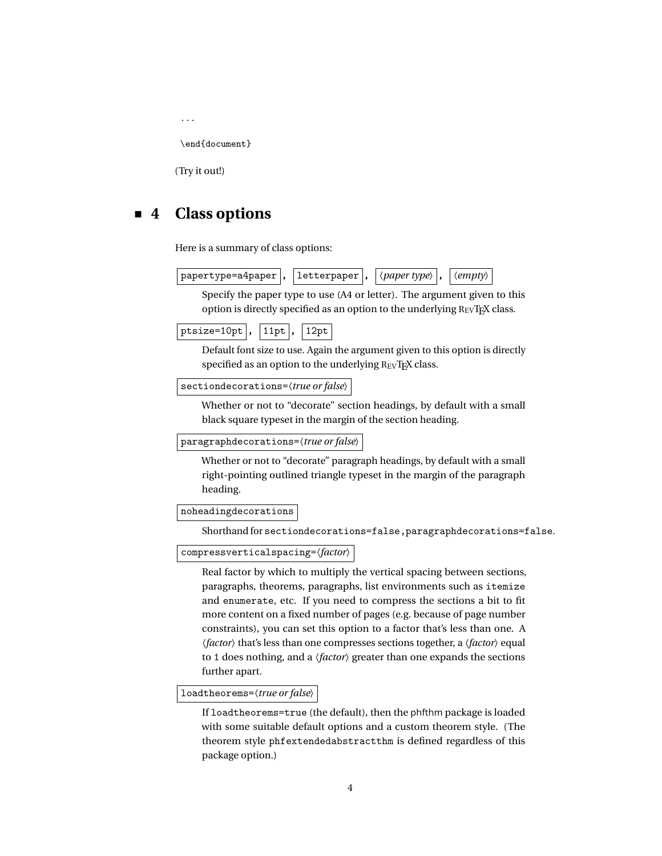```
...
\end{document}
```
<span id="page-3-0"></span>(Try it out!)

## **4 Class options**

Here is a summary of class options:

| papertype=a4paper  ,   letterpaper  , $ \langle paper\ type\rangle $ , $ \langle empty\rangle $ |  |  |  |  |
|-------------------------------------------------------------------------------------------------|--|--|--|--|
|-------------------------------------------------------------------------------------------------|--|--|--|--|

Specify the paper type to use (A4 or letter). The argument given to this option is directly specified as an option to the underlying  $R_{EV}T_{FX}$  class.

Default font size to use. Again the argument given to this option is directly specified as an option to the underlying REVTEX class.

sectiondecorations=〈*true or false*〉

Whether or not to "decorate" section headings, by default with a small black square typeset in the margin of the section heading.

```
paragraphdecorations=〈true or false〉
```
Whether or not to "decorate" paragraph headings, by default with a small right-pointing outlined triangle typeset in the margin of the paragraph heading.

noheadingdecorations

Shorthand for sectiondecorations=false,paragraphdecorations=false.

compressverticalspacing=〈*factor*〉

Real factor by which to multiply the vertical spacing between sections, paragraphs, theorems, paragraphs, list environments such as itemize and enumerate, etc. If you need to compress the sections a bit to fit more content on a fixed number of pages (e.g. because of page number constraints), you can set this option to a factor that's less than one. A 〈*factor*〉 that's less than one compresses sections together, a 〈*factor*〉 equal to 1 does nothing, and a 〈*factor*〉 greater than one expands the sections further apart.

loadtheorems=〈*true or false*〉

If loadtheorems=true (the default), then the phfthm package is loaded with some suitable default options and a custom theorem style. (The theorem style phfextendedabstractthm is defined regardless of this package option.)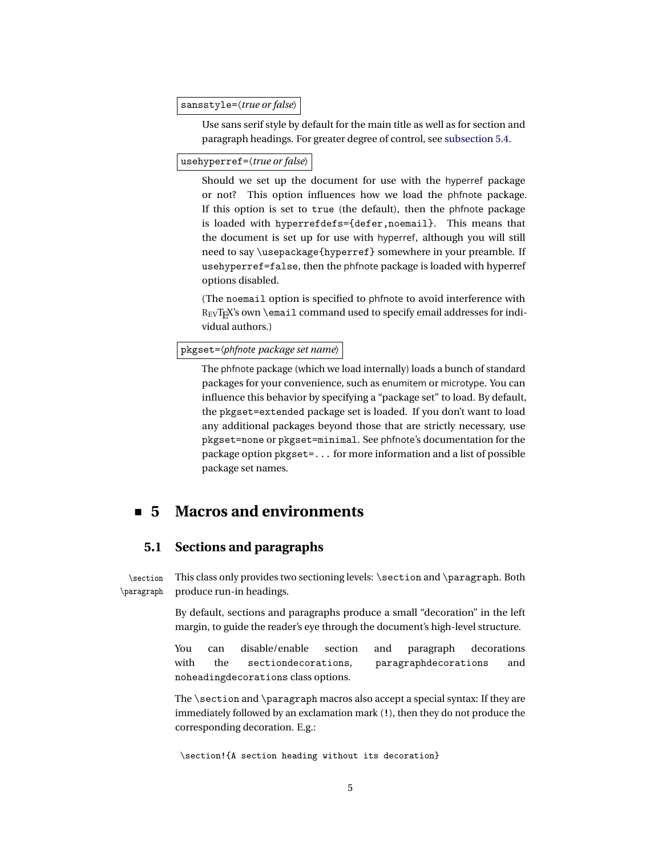<span id="page-4-2"></span>sansstyle=〈*true or false*〉

Use sans serif style by default for the main title as well as for section and paragraph headings. For greater degree of control, see [subsection 5.4.](#page-8-0)

usehyperref=〈*true or false*〉

Should we set up the document for use with the hyperref package or not? This option influences how we load the phfnote package. If this option is set to true (the default), then the phfnote package is loaded with hyperrefdefs={defer,noemail}. This means that the document is set up for use with hyperref, although you will still need to say \usepackage{hyperref} somewhere in your preamble. If usehyperref=false, then the phfnote package is loaded with hyperref options disabled.

(The noemail option is specified to phfnote to avoid interference with REVTEX's own \email command used to specify email addresses for individual authors.)

pkgset=〈*phfnote package set name*〉

The phfnote package (which we load internally) loads a bunch of standard packages for your convenience, such as enumitem or microtype. You can influence this behavior by specifying a "package set" to load. By default, the pkgset=extended package set is loaded. If you don't want to load any additional packages beyond those that are strictly necessary, use pkgset=none or pkgset=minimal. See phfnote's documentation for the package option pkgset=... for more information and a list of possible package set names.

### <span id="page-4-0"></span>**5 Macros and environments**

### <span id="page-4-1"></span>**5.1 Sections and paragraphs**

\section This class only provides two sectioning levels: \section and \paragraph. Both \paragraph produce run-in headings.

> <span id="page-4-3"></span>By default, sections and paragraphs produce a small "decoration" in the left margin, to guide the reader's eye through the document's high-level structure.

> You can disable/enable section and paragraph decorations with the sectiondecorations, paragraphdecorations and noheadingdecorations class options.

> The  $\setminus$  section and  $\parallel$  paragraph macros also accept a special syntax: If they are immediately followed by an exclamation mark (!), then they do not produce the corresponding decoration. E.g.:

\section!{A section heading without its decoration}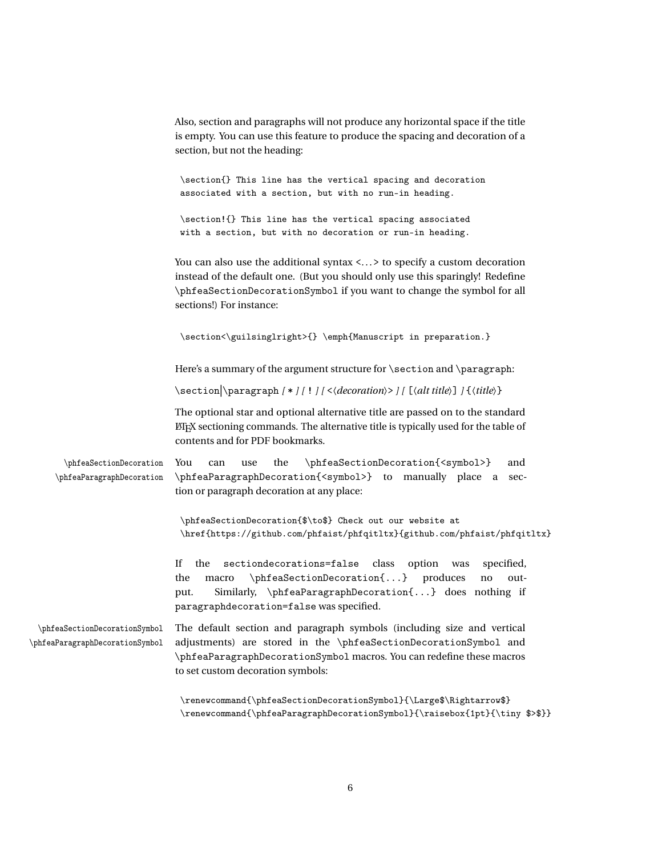|                                                                  | Also, section and paragraphs will not produce any horizontal space if the title<br>is empty. You can use this feature to produce the spacing and decoration of a<br>section, but not the heading:                                                                                     |
|------------------------------------------------------------------|---------------------------------------------------------------------------------------------------------------------------------------------------------------------------------------------------------------------------------------------------------------------------------------|
|                                                                  | \section{} This line has the vertical spacing and decoration<br>associated with a section, but with no run-in heading.                                                                                                                                                                |
|                                                                  | \section!{} This line has the vertical spacing associated<br>with a section, but with no decoration or run-in heading.                                                                                                                                                                |
|                                                                  | You can also use the additional syntax $\langle \ldots \rangle$ to specify a custom decoration<br>instead of the default one. (But you should only use this sparingly! Redefine<br>\phfeaSectionDecorationSymbol if you want to change the symbol for all<br>sections!) For instance: |
|                                                                  | \section<\guilsinglright>{} \emph{Manuscript in preparation.}                                                                                                                                                                                                                         |
|                                                                  | Here's a summary of the argument structure for \section and \paragraph:                                                                                                                                                                                                               |
|                                                                  | \section \paragraph [*][!][<\decoration\>][[\alt title\]] {\\title\}                                                                                                                                                                                                                  |
|                                                                  | The optional star and optional alternative title are passed on to the standard<br>LIFY sectioning commands. The alternative title is typically used for the table of<br>contents and for PDF bookmarks.                                                                               |
| \phfeaSectionDecoration<br>\phfeaParagraphDecoration             | You<br>the<br>\phfeaSectionDecoration{ <symbol>}<br/>and<br/>can<br/>use<br/>\phfeaParagraphDecoration{<symbol>} to manually place a<br/>sec-<br/>tion or paragraph decoration at any place:</symbol></symbol>                                                                        |
|                                                                  | \phfeaSectionDecoration{\$\to\$} Check out our website at<br>\href{https://github.com/phfaist/phfqitltx}{github.com/phfaist/phfqitltx}                                                                                                                                                |
|                                                                  | If<br>the<br>sectiondecorations=false<br>class<br>option<br>specified,<br>was<br>\phfeaSectionDecoration{} produces<br>the<br>macro<br>out-<br>no<br>Similarly, \phfeaParagraphDecoration{} does nothing if<br>put.<br>paragraphdecoration=false was specified.                       |
| \phfeaSectionDecorationSymbol<br>\phfeaParagraphDecorationSymbol | The default section and paragraph symbols (including size and vertical<br>adjustments) are stored in the \phfeaSectionDecorationSymbol and<br>\phfeaParagraphDecorationSymbol macros. You can redefine these macros<br>to set custom decoration symbols:                              |
|                                                                  | \renewcommand{\phfeaSectionDecorationSymbol}{\Large\$\Rightarrow\$}                                                                                                                                                                                                                   |

6

<span id="page-5-1"></span><span id="page-5-0"></span> $\verb|\remewcommand{{\phi}q@argraphDecorationsymbol}{\raisebox{1pt}{{\tiny\$>sp}}\}$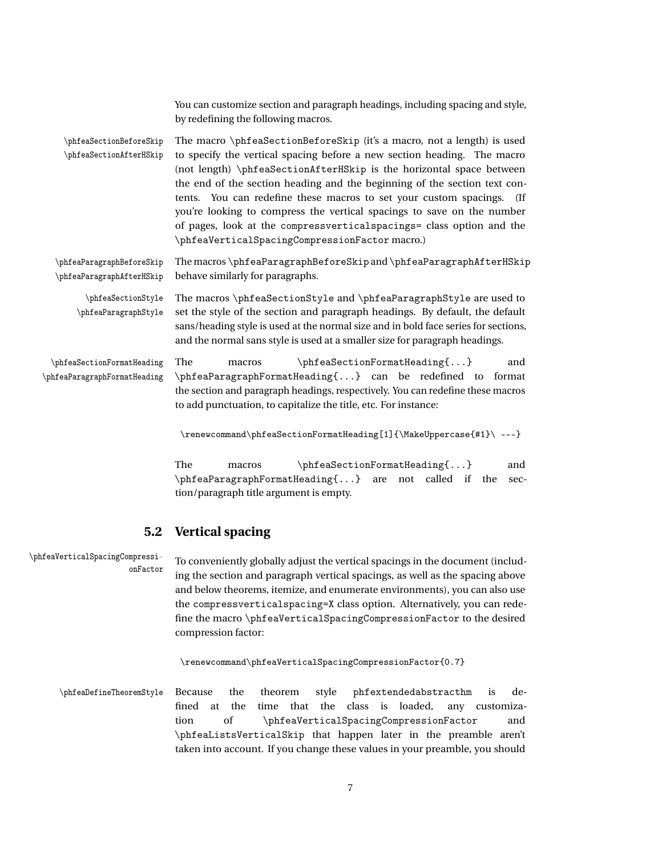<span id="page-6-5"></span><span id="page-6-4"></span><span id="page-6-2"></span>You can customize section and paragraph headings, including spacing and style, by redefining the following macros. \phfeaSectionBeforeSkip The macro \phfeaSectionBeforeSkip (it's a macro, not a length) is used \phfeaSectionAfterHSkip to specify the vertical spacing before a new section heading. The macro (not length) \phfeaSectionAfterHSkip is the horizontal space between the end of the section heading and the beginning of the section text contents. You can redefine these macros to set your custom spacings. (If you're looking to compress the vertical spacings to save on the number of pages, look at the compressverticalspacings= class option and the \phfeaVerticalSpacingCompressionFactor macro.) \phfeaParagraphBeforeSkip The macros \phfeaParagraphBeforeSkip and \phfeaParagraphAfterHSkip \phfeaParagraphAfterHSkip behave similarly for paragraphs. \phfeaSectionStyle The macros \phfeaSectionStyle and \phfeaParagraphStyle are used to \phfeaParagraphStyle set the style of the section and paragraph headings. By default, the default sans/heading style is used at the normal size and in bold face series for sections, and the normal sans style is used at a smaller size for paragraph headings. \phfeaSectionFormatHeading The macros \phfeaSectionFormatHeading{...} and \phfeaParagraphFormatHeading \phfeaParagraphFormatHeading{...} can be redefined to format the section and paragraph headings, respectively. You can redefine these macros to add punctuation, to capitalize the title, etc. For instance: \renewcommand\phfeaSectionFormatHeading[1]{\MakeUppercase{#1}\ ---} The macros \phfeaSectionFormatHeading{...} and \phfeaParagraphFormatHeading{...} are not called if the section/paragraph title argument is empty.

### <span id="page-6-6"></span><span id="page-6-3"></span><span id="page-6-0"></span>**5.2 Vertical spacing**

\phfeaVerticalSpacingCompressi-<br>onFactor discussed to conveniently globally adjust the vertical spacings in the document (including the section and paragraph vertical spacings, as well as the spacing above and below theorems, itemize, and enumerate environments), you can also use the compressverticalspacing=X class option. Alternatively, you can redefine the macro \phfeaVerticalSpacingCompressionFactor to the desired compression factor:

<span id="page-6-1"></span>\renewcommand\phfeaVerticalSpacingCompressionFactor{0.7}

\phfeaDefineTheoremStyle Because the theorem style phfextendedabstracthm is defined at the time that the class is loaded, any customization of \phfeaVerticalSpacingCompressionFactor and \phfeaListsVerticalSkip that happen later in the preamble aren't taken into account. If you change these values in your preamble, you should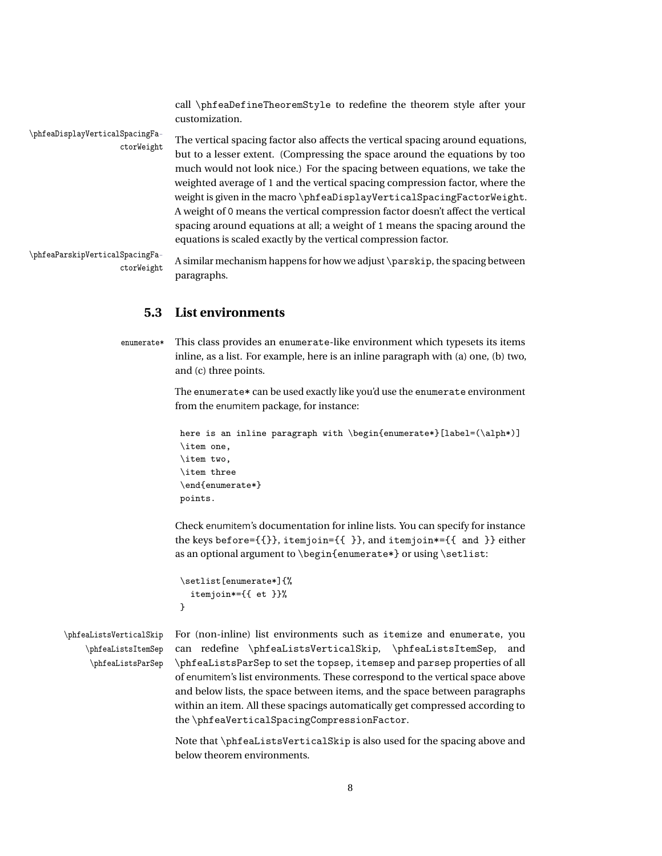<span id="page-7-3"></span><span id="page-7-2"></span>call \phfeaDefineTheoremStyle to redefine the theorem style after your customization.

ctorWeight

\phfeaDisplayVerticalSpacingFa-<br>The vertical spacing factor also affects the vertical spacing around equations, but to a lesser extent. (Compressing the space around the equations by too much would not look nice.) For the spacing between equations, we take the weighted average of 1 and the vertical spacing compression factor, where the weight is given in the macro \phfeaDisplayVerticalSpacingFactorWeight. A weight of 0 means the vertical compression factor doesn't affect the vertical spacing around equations at all; a weight of 1 means the spacing around the equations is scaled exactly by the vertical compression factor.

ctorWeight

\phfeaParskipVerticalSpacingFa-<br>A similar mechanism happens for how we adjust \parskip, the spacing between paragraphs.

### <span id="page-7-5"></span><span id="page-7-1"></span><span id="page-7-0"></span>**5.3 List environments**

enumerate\* This class provides an enumerate-like environment which typesets its items inline, as a list. For example, here is an inline paragraph with (a) one, (b) two, and (c) three points.

> The enumerate\* can be used exactly like you'd use the enumerate environment from the enumitem package, for instance:

```
here is an inline paragraph with \begin{enumerate*}[label=(\alph*)]
\item one,
\item two,
\item three
\end{enumerate*}
points.
```
Check enumitem's documentation for inline lists. You can specify for instance the keys before={{}}, itemjoin={{ }}, and itemjoin\*={{ and }} either as an optional argument to \begin{enumerate\*} or using \setlist:

```
\setlist[enumerate*]{%
  itemjoin*={{ et }}%
}
```
\phfeaListsItemSep \phfeaListsParSep

\phfeaListsVerticalSkip For (non-inline) list environments such as itemize and enumerate, you can redefine \phfeaListsVerticalSkip, \phfeaListsItemSep, and \phfeaListsParSep to set the topsep, itemsep and parsep properties of all of enumitem's list environments. These correspond to the vertical space above and below lists, the space between items, and the space between paragraphs within an item. All these spacings automatically get compressed according to the \phfeaVerticalSpacingCompressionFactor.

> Note that \phfeaListsVerticalSkip is also used for the spacing above and below theorem environments.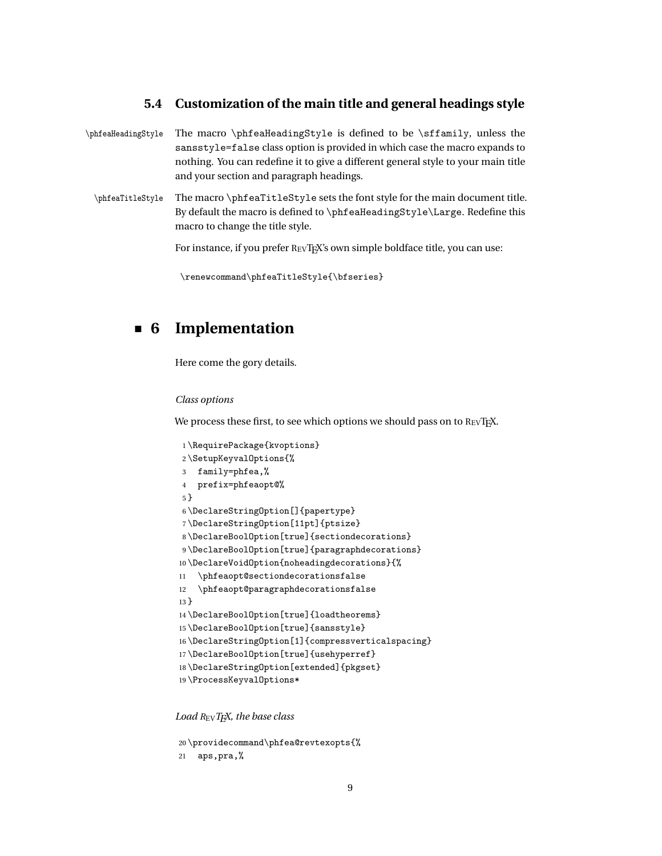### <span id="page-8-13"></span><span id="page-8-0"></span>**5.4 Customization of the main title and general headings style**

\phfeaHeadingStyle The macro \phfeaHeadingStyle is defined to be \sffamily, unless the sansstyle=false class option is provided in which case the macro expands to nothing. You can redefine it to give a different general style to your main title and your section and paragraph headings.

\phfeaTitleStyle The macro \phfeaTitleStyle sets the font style for the main document title. By default the macro is defined to \phfeaHeadingStyle\Large. Redefine this macro to change the title style.

<span id="page-8-16"></span>For instance, if you prefer REVTEX's own simple boldface title, you can use:

```
\renewcommand\phfeaTitleStyle{\bfseries}
```
## **6 Implementation**

Here come the gory details.

#### *Class options*

We process these first, to see which options we should pass on to  $R_{EV}T_{F}X$ .

```
1 \RequirePackage{kvoptions}
2 \SetupKeyvalOptions{%
3 family=phfea,%
4 prefix=phfeaopt@%
5 }
6 \DeclareStringOption[]{papertype}
7 \DeclareStringOption[11pt]{ptsize}
8 \DeclareBoolOption[true]{sectiondecorations}
9 \DeclareBoolOption[true]{paragraphdecorations}
10 \DeclareVoidOption{noheadingdecorations}{%
11 \phfeaopt@sectiondecorationsfalse
12 \phfeaopt@paragraphdecorationsfalse
13 }
14 \DeclareBoolOption[true]{loadtheorems}
15 \DeclareBoolOption[true]{sansstyle}
16 \DeclareStringOption[1]{compressverticalspacing}
17 \DeclareBoolOption[true]{usehyperref}
18 \DeclareStringOption[extended]{pkgset}
19 \ProcessKeyvalOptions*
```
<span id="page-8-17"></span><span id="page-8-14"></span><span id="page-8-10"></span><span id="page-8-9"></span><span id="page-8-6"></span><span id="page-8-5"></span><span id="page-8-4"></span>

```
20 \providecommand\phfea@revtexopts{%
21 aps,pra,%
```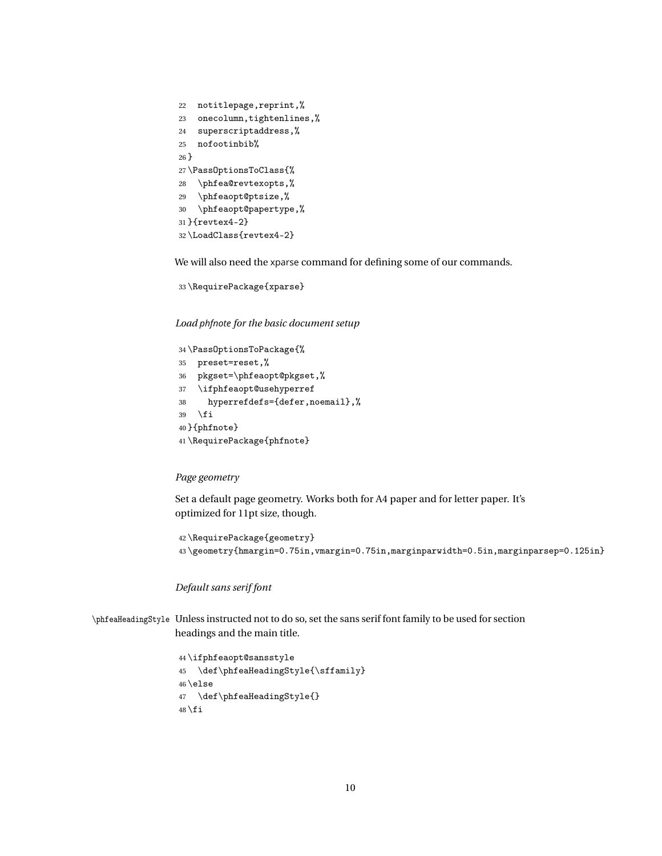```
22 notitlepage,reprint,%
23 onecolumn,tightenlines,%
24 superscriptaddress,%
25 nofootinbib%
26 }
27 \PassOptionsToClass{%
28 \phfea@revtexopts,%
29 \phfeaopt@ptsize,%
30 \phfeaopt@papertype,%
31 }{revtex4-2}
32 \LoadClass{revtex4-2}
```
<span id="page-9-11"></span><span id="page-9-9"></span><span id="page-9-3"></span>We will also need the xparse command for defining some of our commands.

```
33 \RequirePackage{xparse}
```
*Load phfnote for the basic document setup*

```
34 \PassOptionsToPackage{%
35 preset=reset,%
36 pkgset=\phfeaopt@pkgset,%
37 \ifphfeaopt@usehyperref
38 hyperrefdefs={defer,noemail},%
39 \quad \text{If}40 }{phfnote}
41 \RequirePackage{phfnote}
```
#### <span id="page-9-13"></span>*Page geometry*

Set a default page geometry. Works both for A4 paper and for letter paper. It's optimized for 11pt size, though.

<span id="page-9-14"></span><span id="page-9-0"></span> \RequirePackage{geometry} \geometry{hmargin=0.75in,vmargin=0.75in,marginparwidth=0.5in,marginparsep=0.125in}

#### *Default sans serif font*

```
\phfeaHeadingStyle Unless instructed not to do so, set the sans serif font family to be used for section
                   headings and the main title.
```

```
44 \ifphfeaopt@sansstyle
45 \def\phfeaHeadingStyle{\sffamily}
46 \else
47 \def\phfeaHeadingStyle{}
48 \text{ t}
```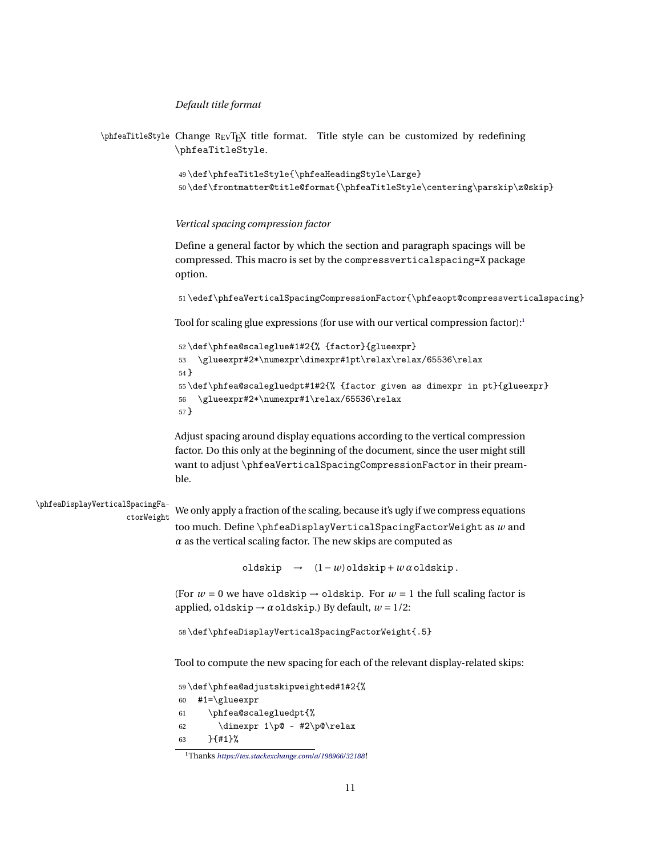#### *Default title format*

```
\phfeaTitleStyle Change REVTEX title format. Title style can be customized by redefining
               \phfeaTitleStyle.
```

```
49 \def\phfeaTitleStyle{\phfeaHeadingStyle\Large}
50 \def\frontmatter@title@format{\phfeaTitleStyle\centering\parskip\z@skip}
```
#### *Vertical spacing compression factor*

Define a general factor by which the section and paragraph spacings will be compressed. This macro is set by the compressverticalspacing=X package option.

```
51 \edef\phfeaVerticalSpacingCompressionFactor{\phfeaopt@compressverticalspacing}
```
Tool for scaling glue expressions (for use with our vertical compression factor):**[1](#page-10-0)**

```
52 \def\phfea@scaleglue#1#2{% {factor}{glueexpr}
53 \glueexpr#2*\numexpr\dimexpr#1pt\relax\relax/65536\relax
54 }
55 \def\phfea@scalegluedpt#1#2{% {factor given as dimexpr in pt}{glueexpr}
56 \glueexpr#2*\numexpr#1\relax/65536\relax
57 }
```
<span id="page-10-4"></span>Adjust spacing around display equations according to the vertical compression factor. Do this only at the beginning of the document, since the user might still want to adjust \phfeaVerticalSpacingCompressionFactor in their preamble.

<span id="page-10-11"></span>\phfeaDisplayVerticalSpacingFactorWeight

We only apply a fraction of the scaling, because it's ugly if we compress equations too much. Define \phfeaDisplayVerticalSpacingFactorWeight as *w* and  $\alpha$  as the vertical scaling factor. The new skips are computed as

oldskip → (1−*w*)oldskip+*w α*oldskip .

(For  $w = 0$  we have oldskip  $\rightarrow$  oldskip. For  $w = 1$  the full scaling factor is applied, oldskip  $\rightarrow \alpha$  oldskip.) By default,  $w = 1/2$ :

58 \def\phfeaDisplayVerticalSpacingFactorWeight{.5}

Tool to compute the new spacing for each of the relevant display-related skips:

<span id="page-10-7"></span>59 \def\phfea@adjustskipweighted#1#2{%

```
60 #1=\glueexpr
```
<span id="page-10-10"></span><span id="page-10-3"></span>61 \phfea@scalegluedpt{% 62 \dimexpr 1\p@ - #2\p@\relax 63 }{#1}%

<span id="page-10-0"></span>**<sup>1</sup>**Thanks *<https://tex.stackexchange.com/a/198966/32188>* !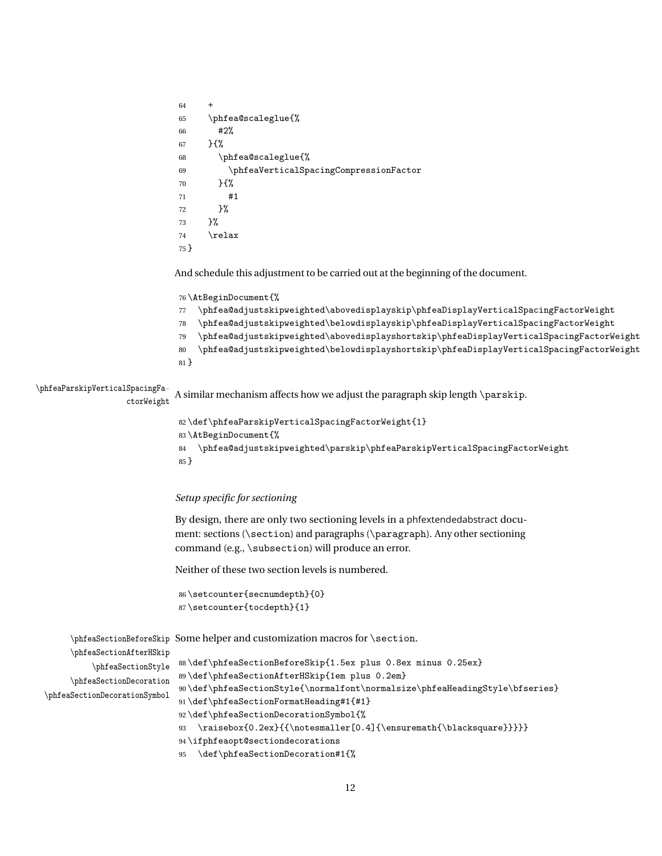```
6465 \phfea@scaleglue{%
66 #2%
67 }{%
68 \phfea@scaleglue{%
69 \phfeaVerticalSpacingCompressionFactor
70 }{%
71 #1
72 }%
73 }%
74 \text{relax}75 }
```
<span id="page-11-21"></span>And schedule this adjustment to be carried out at the beginning of the document.

```
76 \AtBeginDocument{%
```
<span id="page-11-1"></span>\phfea@adjustskipweighted\abovedisplayskip\phfeaDisplayVerticalSpacingFactorWeight

```
78 \phfea@adjustskipweighted\belowdisplayskip\phfeaDisplayVerticalSpacingFactorWeight
```
- <span id="page-11-0"></span>\phfea@adjustskipweighted\abovedisplayshortskip\phfeaDisplayVerticalSpacingFactorWeight
- <span id="page-11-4"></span>\phfea@adjustskipweighted\belowdisplayshortskip\phfeaDisplayVerticalSpacingFactorWeight
- }

#### <span id="page-11-13"></span>\phfeaParskipVerticalSpacingFa-

ctorWeight A similar mechanism affects how we adjust the paragraph skip length \parskip.

```
82 \def\phfeaParskipVerticalSpacingFactorWeight{1}
83 \AtBeginDocument{%
84 \phfea@adjustskipweighted\parskip\phfeaParskipVerticalSpacingFactorWeight
85 }
```
#### *Setup specific for sectioning*

By design, there are only two sectioning levels in a phfextendedabstract document: sections (\section) and paragraphs (\paragraph). Any other sectioning command (e.g., \subsection) will produce an error.

Neither of these two section levels is numbered.

```
86 \setcounter{secnumdepth}{0}
87 \setcounter{tocdepth}{1}
```
\phfeaSectionBeforeSkip Some helper and customization macros for \section.

```
\phfeaSectionAfterHSkip
           \phfeaSectionStyle
      \phfeaSectionDecoration
\phfeaSectionDecorationSymbol
```

```
88 \def\phfeaSectionBeforeSkip{1.5ex plus 0.8ex minus 0.25ex}
89 \def\phfeaSectionAfterHSkip{1em plus 0.2em}
90 \def\phfeaSectionStyle{\normalfont\normalsize\phfeaHeadingStyle\bfseries}
91 \def\phfeaSectionFormatHeading#1{#1}
92 \def\phfeaSectionDecorationSymbol{%
93 \raisebox{0.2ex}{{\notesmaller[0.4]{\ensuremath{\blacksquare}}}}}
```
- <span id="page-11-18"></span><span id="page-11-8"></span><span id="page-11-7"></span>\ifphfeaopt@sectiondecorations
- \def\phfeaSectionDecoration#1{%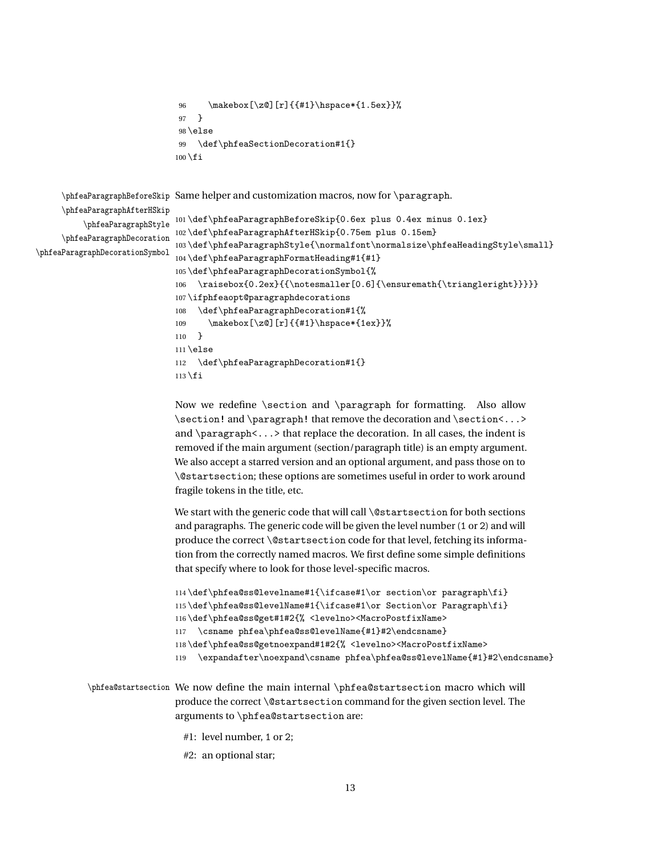```
96 \makebox[\z@][r]{{#1}\hspace*{1.5ex}}%
97 }
98 \else
99 \def\phfeaSectionDecoration#1{}
100 \setminus fi
```
\phfeaParagraphBeforeSkip Same helper and customization macros, now for \paragraph.

<span id="page-12-17"></span><span id="page-12-15"></span><span id="page-12-14"></span><span id="page-12-13"></span><span id="page-12-12"></span>\phfeaParagraphAfterHSkip \phfeaParagraphStyle \phfeaParagraphDecoration \phfeaParagraphDecorationSymbol

```
101 \def\phfeaParagraphBeforeSkip{0.6ex plus 0.4ex minus 0.1ex}
102 \def\phfeaParagraphAfterHSkip{0.75em plus 0.15em}
103 \def\phfeaParagraphStyle{\normalfont\normalsize\phfeaHeadingStyle\small}
104 \def\phfeaParagraphFormatHeading#1{#1}
105 \def\phfeaParagraphDecorationSymbol{%
106 \raisebox{0.2ex}{{\notesmaller[0.6]{\ensuremath{\triangleright}}}}}
107 \ifphfeaopt@paragraphdecorations
108 \def\phfeaParagraphDecoration#1{%
109 \makebox[\z@][r]{{#1}\hspace*{1ex}}%
110 }
111 \else
112 \def\phfeaParagraphDecoration#1{}
113 \fi
```
<span id="page-12-4"></span>Now we redefine  $\setminus$  and  $\parrow$  for formatting. Also allow \section! and \paragraph! that remove the decoration and \section <...> and \paragraph<...> that replace the decoration. In all cases, the indent is removed if the main argument (section/paragraph title) is an empty argument. We also accept a starred version and an optional argument, and pass those on to \@startsection; these options are sometimes useful in order to work around fragile tokens in the title, etc.

We start with the generic code that will call \@startsection for both sections and paragraphs. The generic code will be given the level number (1 or 2) and will produce the correct \@startsection code for that level, fetching its information from the correctly named macros. We first define some simple definitions that specify where to look for those level-specific macros.

```
114 \def\phfea@ss@levelname#1{\ifcase#1\or section\or paragraph\fi}
115 \def\phfea@ss@levelName#1{\ifcase#1\or Section\or Paragraph\fi}
116 \def\phfea@ss@get#1#2{% <levelno><MacroPostfixName>
117 \csname phfea\phfea@ss@levelName{#1}#2\endcsname}
118 \def\phfea@ss@getnoexpand#1#2{% <levelno><MacroPostfixName>
119 \expandafter\noexpand\csname phfea\phfea@ss@levelName{#1}#2\endcsname}
```
<span id="page-12-11"></span>\phfea@startsection We now define the main internal \phfea@startsection macro which will produce the correct \@startsection command for the given section level. The arguments to \phfea@startsection are:

- #1: level number, 1 or 2;
- #2: an optional star;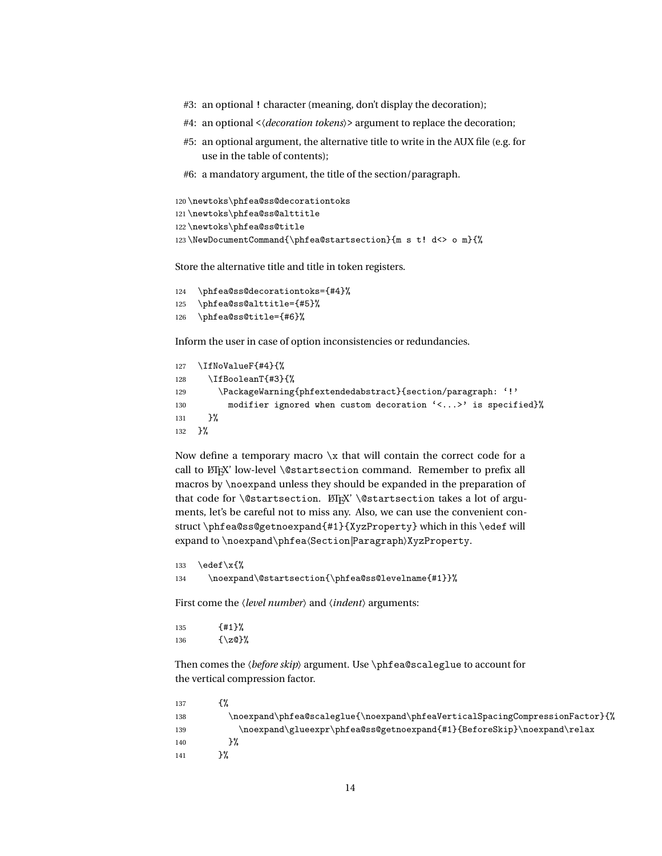- #3: an optional ! character (meaning, don't display the decoration);
- #4: an optional <〈*decoration tokens*〉> argument to replace the decoration;
- #5: an optional argument, the alternative title to write in the AUX file (e.g. for use in the table of contents);
- #6: a mandatory argument, the title of the section/paragraph.

```
120 \newtoks\phfea@ss@decorationtoks
121 \newtoks\phfea@ss@alttitle
122 \newtoks\phfea@ss@title
123 \NewDocumentCommand{\phfea@startsection}{m s t! d<> o m}{%
```
<span id="page-13-4"></span>Store the alternative title and title in token registers.

```
124 \phfea@ss@decorationtoks={#4}%
125 \phfea@ss@alttitle={#5}%
126 \phfea@ss@title={#6}%
```
Inform the user in case of option inconsistencies or redundancies.

```
127 \IfNoValueF{#4}{%
128 \IfBooleanT{#3}{%
129 \PackageWarning{phfextendedabstract}{section/paragraph: '!'
130 modifier ignored when custom decoration '<...>' is specified}%
131 }%
132 }%
```
Now define a temporary macro  $x$  that will contain the correct code for a call to ETEX' low-level \@startsection command. Remember to prefix all macros by \noexpand unless they should be expanded in the preparation of that code for \@startsection. LTFX' \@startsection takes a lot of arguments, let's be careful not to miss any. Also, we can use the convenient construct \phfea@ss@getnoexpand{#1}{XyzProperty} which in this \edef will expand to \noexpand\phfea〈Section*|*Paragraph〉XyzProperty.

```
133 \edef\x{%
134 \noexpand\@startsection{\phfea@ss@levelname{#1}}%
```
First come the *\level number*} and *\indent*} arguments:

```
135 {#1}%
136 \{ \zeta \}
```
Then comes the 〈*before skip*〉 argument. Use \phfea@scaleglue to account for the vertical compression factor.

<span id="page-13-8"></span><span id="page-13-1"></span>

| 137 |                                                                              |
|-----|------------------------------------------------------------------------------|
| 138 | \noexpand\phfea@scaleglue{\noexpand\phfeaVerticalSpacingCompressionFactor}{% |
| 139 | \noexpand\glueexpr\phfea@ss@getnoexpand{#1}{BeforeSkip}\noexpand\relax       |
| 140 |                                                                              |
| 141 |                                                                              |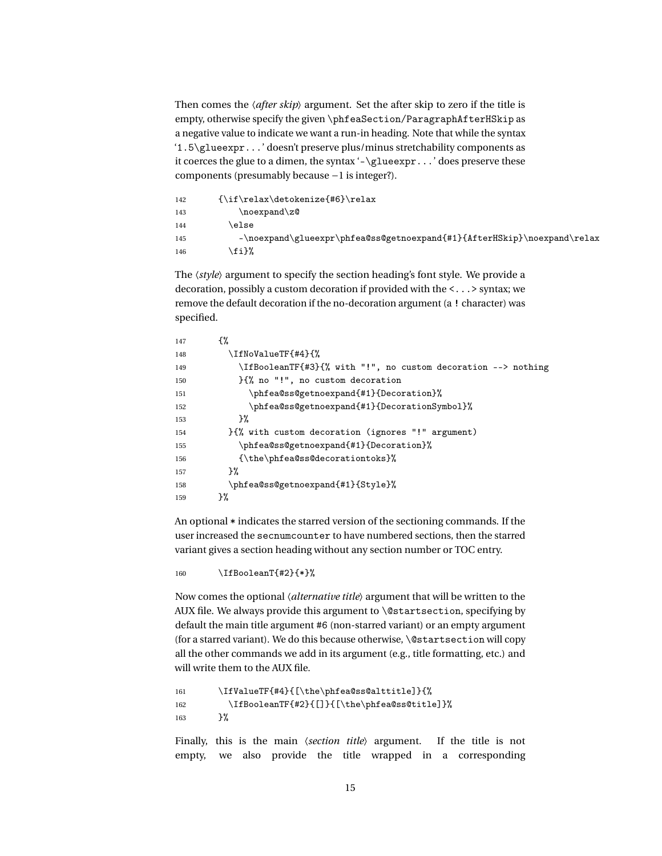Then comes the 〈*after skip*〉 argument. Set the after skip to zero if the title is empty, otherwise specify the given \phfeaSection/ParagraphAfterHSkip as a negative value to indicate we want a run-in heading. Note that while the syntax '1.5\glueexpr...' doesn't preserve plus/minus stretchability components as it coerces the glue to a dimen, the syntax '-\glueexpr...' does preserve these components (presumably because −1 is integer?).

```
142 {\if\relax\detokenize{#6}\relax
143 \noexpand\z@
144 \text{else}145 -\noexpand\glueexpr\phfea@ss@getnoexpand{#1}{AfterHSkip}\noexpand\relax
146 \fi}%
```
The 〈*style*〉 argument to specify the section heading's font style. We provide a decoration, possibly a custom decoration if provided with the <...> syntax; we remove the default decoration if the no-decoration argument (a ! character) was specified.

```
147 \{%
148 \IfNoValueTF{#4}{%
149 \IfBooleanTF{#3}{% with "!", no custom decoration --> nothing
150 }{% no "!", no custom decoration
151 \phfea@ss@getnoexpand{#1}{Decoration}%
152 \phfea@ss@getnoexpand{#1}{DecorationSymbol}%
153 }%
154 }{% with custom decoration (ignores "!" argument)
155 \phfea@ss@getnoexpand{#1}{Decoration}%
156 {\the\phfea@ss@decorationtoks}%
157 }%
158 \phfea@ss@getnoexpand{#1}{Style}%
159 }%
```
<span id="page-14-12"></span><span id="page-14-11"></span><span id="page-14-8"></span>An optional \* indicates the starred version of the sectioning commands. If the user increased the secnumcounter to have numbered sections, then the starred variant gives a section heading without any section number or TOC entry.

<span id="page-14-2"></span>160 \IfBooleanT{#2}{\*}%

Now comes the optional 〈*alternative title*〉 argument that will be written to the AUX file. We always provide this argument to \@startsection, specifying by default the main title argument #6 (non-starred variant) or an empty argument (for a starred variant). We do this because otherwise, \@startsection will copy all the other commands we add in its argument (e.g., title formatting, etc.) and will write them to the AUX file.

```
161 \IfValueTF{#4}{[\the\phfea@ss@alttitle]}{%
162 \IfBooleanTF{#2}{[]}{[\the\phfea@ss@title]}%
163 }%
```
Finally, this is the main 〈*section title*〉 argument. If the title is not empty, we also provide the title wrapped in a corresponding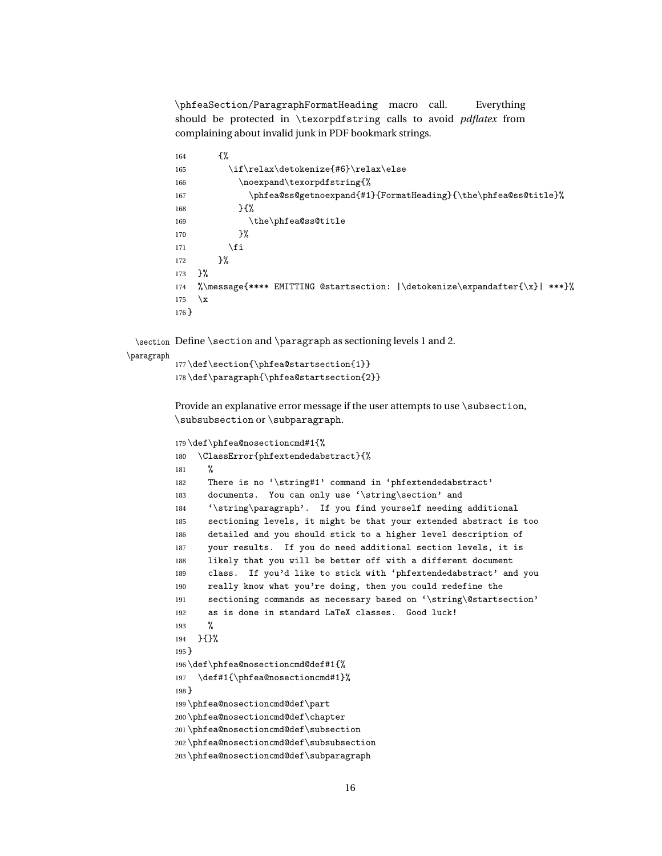\phfeaSection/ParagraphFormatHeading macro call. Everything should be protected in \texorpdfstring calls to avoid *pdflatex* from complaining about invalid junk in PDF bookmark strings.

```
164 \{%
165 \if\relax\detokenize{#6}\relax\else
166 \noexpand\texorpdfstring{%
167 \phfea@ss@getnoexpand{#1}{FormatHeading}{\the\phfea@ss@title}%
168 }{%
169 \the\phfea@ss@title
170 }%
171 \qquad \qquad \text{if }172 }%
173 }%
174 %\message{**** EMITTING @startsection: |\detokenize\expandafter{\x}| ***}%
175 \quad \text{X}176 }
```
<span id="page-15-22"></span><span id="page-15-4"></span>\section Define \section and \paragraph as sectioning levels 1 and 2.

```
\paragraph
```
<span id="page-15-18"></span><span id="page-15-17"></span> \def\section{\phfea@startsection{1}} \def\paragraph{\phfea@startsection{2}}

Provide an explanative error message if the user attempts to use \subsection, \subsubsection or \subparagraph.

```
179 \def\phfea@nosectioncmd#1{%
180 \ClassError{phfextendedabstract}{%
181 %
182 There is no '\string#1' command in 'phfextendedabstract'
183 documents. You can only use '\string\section' and
184 '\string\paragraph'. If you find yourself needing additional
185 sectioning levels, it might be that your extended abstract is too
186 detailed and you should stick to a higher level description of
187 your results. If you do need additional section levels, it is
188 likely that you will be better off with a different document
189 class. If you'd like to stick with 'phfextendedabstract' and you
190 really know what you're doing, then you could redefine the
191 sectioning commands as necessary based on '\string\@startsection'
192 as is done in standard LaTeX classes. Good luck!
193 %
194 }{}%
195 }
196 \def\phfea@nosectioncmd@def#1{%
197 \def#1{\phfea@nosectioncmd#1}%
198 }
199 \phfea@nosectioncmd@def\part
200 \phfea@nosectioncmd@def\chapter
201 \phfea@nosectioncmd@def\subsection
202 \phfea@nosectioncmd@def\subsubsection
```

```
203 \phfea@nosectioncmd@def\subparagraph
```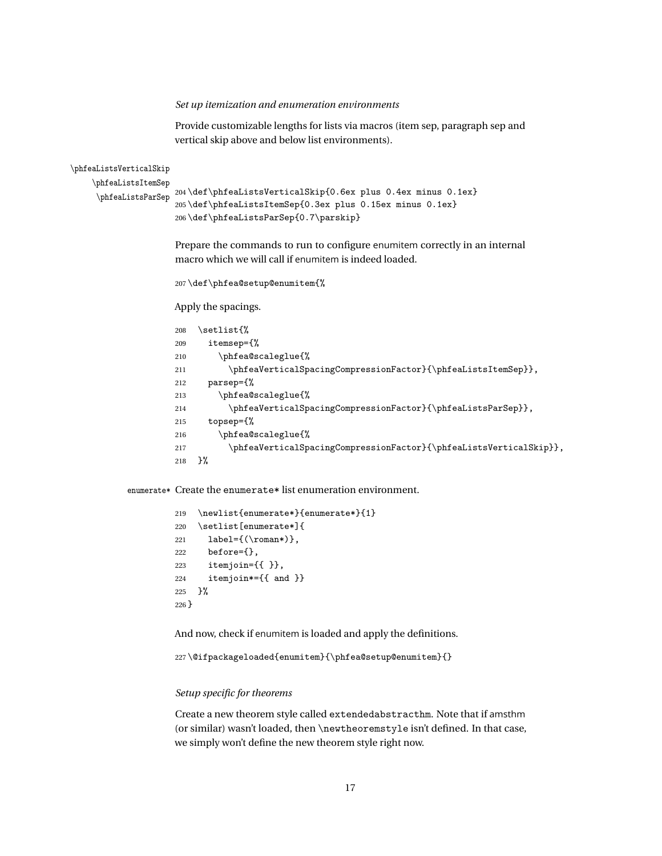#### <span id="page-16-1"></span>*Set up itemization and enumeration environments*

Provide customizable lengths for lists via macros (item sep, paragraph sep and vertical skip above and below list environments).

<span id="page-16-13"></span><span id="page-16-11"></span><span id="page-16-9"></span>\phfeaListsVerticalSkip \phfeaListsItemSep \phfeaListsParSep 204 \def\phfeaListsVerticalSkip{0.6ex plus 0.4ex minus 0.1ex} 205 \def\phfeaListsItemSep{0.3ex plus 0.15ex minus 0.1ex} 206 \def\phfeaListsParSep{0.7\parskip}

> <span id="page-16-4"></span>Prepare the commands to run to configure enumitem correctly in an internal macro which we will call if enumitem is indeed loaded.

<span id="page-16-8"></span>207 \def\phfea@setup@enumitem{%

Apply the spacings.

```
208 \setlist{%
209 itemsep={%
210 \phfea@scaleglue{%
211 \phfeaVerticalSpacingCompressionFactor}{\phfeaListsItemSep}},
212 parsep={%
213 \phfea@scaleglue{%
214 \phfeaVerticalSpacingCompressionFactor}{\phfeaListsParSep}},
215 topsep={%
216 \phfea@scaleglue{%
217 \phfeaVerticalSpacingCompressionFactor}{\phfeaListsVerticalSkip}},
218 }%
```
<span id="page-16-14"></span><span id="page-16-7"></span>enumerate\* Create the enumerate\* list enumeration environment.

```
219 \newlist{enumerate*}{enumerate*}{1}
220 \setlist[enumerate*]{
221 label={(\gamma*)}222 before={},
223 itemjoin={{ }},
224 itemjoin*={{ and }}
225 \frac{1}{6}226 }
```
And now, check if enumitem is loaded and apply the definitions.

<span id="page-16-0"></span>227 \@ifpackageloaded{enumitem}{\phfea@setup@enumitem}{}

#### *Setup specific for theorems*

Create a new theorem style called extendedabstracthm. Note that if amsthm (or similar) wasn't loaded, then \newtheoremstyle isn't defined. In that case, we simply won't define the new theorem style right now.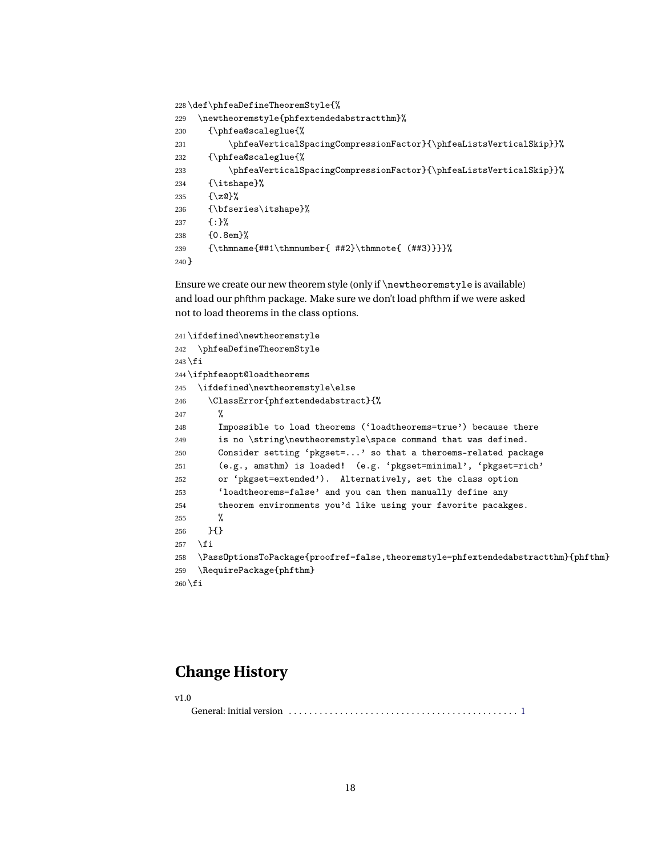<span id="page-17-13"></span><span id="page-17-9"></span>\def\phfeaDefineTheoremStyle{%

```
229 \newtheoremstyle{phfextendedabstractthm}%
230 {\phfea@scaleglue{%
231 \phfeaVerticalSpacingCompressionFactor}{\phfeaListsVerticalSkip}}%
232 {\phfea@scaleglue{%
233 \phfeaVerticalSpacingCompressionFactor}{\phfeaListsVerticalSkip}}%
234 {\itshape}%
235 {\z@}%
236 {\bfseries\itshape}%
237 {:}%
238 {0.8em}%
239 {\thmname{##1\thmnumber{ ##2}\thmnote{ (##3)}}}%
240 }
```
<span id="page-17-18"></span><span id="page-17-1"></span>Ensure we create our new theorem style (only if \newtheoremstyle is available) and load our phfthm package. Make sure we don't load phfthm if we were asked not to load theorems in the class options.

```
241 \ifdefined\newtheoremstyle
242 \phfeaDefineTheoremStyle
243 \fi
244 \ifphfeaopt@loadtheorems
245 \ifdefined\newtheoremstyle\else
246 \ClassError{phfextendedabstract}{%
247 %
248 Impossible to load theorems ('loadtheorems=true') because there
249 is no \string\newtheoremstyle\space command that was defined.
250 Consider setting 'pkgset=...' so that a theroems-related package
251 (e.g., amsthm) is loaded! (e.g. 'pkgset=minimal', 'pkgset=rich'
252 or 'pkgset=extended'). Alternatively, set the class option
253 'loadtheorems=false' and you can then manually define any
254 theorem environments you'd like using your favorite pacakges.
255 %
256 }{}
257 \overline{1}258 \PassOptionsToPackage{proofref=false,theoremstyle=phfextendedabstractthm}{phfthm}
259 \RequirePackage{phfthm}
260 \fi
```
### <span id="page-17-17"></span><span id="page-17-10"></span><span id="page-17-0"></span>**Change History**

v1.0

General: Initial version . . . . . . . . . . . . . . . . . . . . . . . . . . . . . . . . . . . . . . . . . . . . . [1](#page-0-1)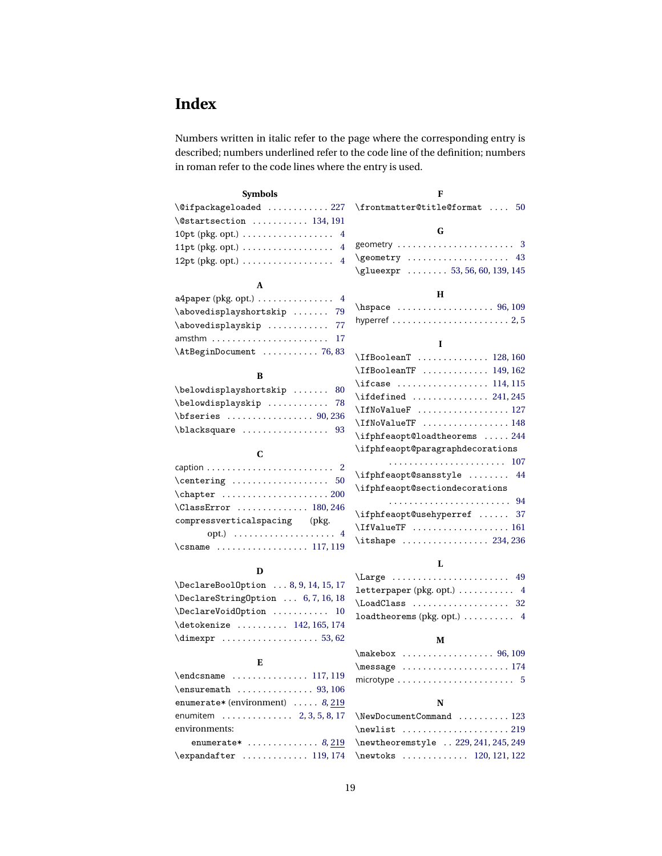# <span id="page-18-0"></span>**Index**

Numbers written in italic refer to the page where the corresponding entry is described; numbers underlined refer to the code line of the definition; numbers in roman refer to the code lines where the entry is used.

| <b>Symbols</b>                                                          | F                                                                                |
|-------------------------------------------------------------------------|----------------------------------------------------------------------------------|
| \@ifpackageloaded  227                                                  | \frontmatter@title@format  50                                                    |
| $\text{U}\$ startsection  134, 191                                      |                                                                                  |
| 10pt (pkg. opt.) $\dots\dots\dots\dots\dots\dots$<br>4                  | G                                                                                |
| 11pt (pkg. opt.) $\ldots \ldots \ldots \ldots \ldots$<br>$\overline{4}$ | geometry  3                                                                      |
| 12pt (pkg. opt.) $\ldots \ldots \ldots \ldots \ldots$<br>$\overline{4}$ | \geometry  43                                                                    |
|                                                                         | \glueexpr  53, 56, 60, 139, 145                                                  |
| A                                                                       |                                                                                  |
| $a4$ paper (pkg. opt.) $\dots \dots \dots \dots$                        | н                                                                                |
| \abovedisplayshortskip  79                                              | \hspace  96, 109                                                                 |
| \abovedisplayskip<br>77                                                 | hyperref $\ldots \ldots \ldots \ldots \ldots \ldots \ldots 2, 5$                 |
| 17                                                                      | L                                                                                |
| \AtBeginDocument  76,83                                                 | $\left\{\text{IfBoolean}\right\}$ 128,160                                        |
|                                                                         | \IfBooleanTF  149, 162                                                           |
| B                                                                       | $\frac{114,115}{116}$                                                            |
| \belowdisplayshortskip<br>80                                            | $\left\{ \left( \left( \left\{ 241, 245 \right. \right. \right. \right. \right.$ |
| \belowdisplayskip  78                                                   | \IfNoValueF  127                                                                 |
| $\b$ fseries  90,236                                                    | \IfNoValueTF  148                                                                |
| blacksquare  93                                                         | \ifphfeaopt@loadtheorems  244                                                    |
|                                                                         | \ifphfeaopt@paragraphdecorations                                                 |
| C                                                                       |                                                                                  |
| caption $\ldots \ldots \ldots \ldots \ldots \ldots \ldots 2$            | \ifphfeaopt@sansstyle  44                                                        |
| $\centerdot$                                                            | \ifphfeaopt@sectiondecorations                                                   |
|                                                                         |                                                                                  |
| $\text{ClassError}$ 180, 246                                            | \ifphfeaopt@usehyperref  37                                                      |
| compressverticalspacing<br>(pkg.                                        | \IfValueTF  161                                                                  |
| opt.) $\ldots \ldots \ldots \ldots \ldots \ldots$                       | \itshape  234, 236                                                               |
| $\cosh$ 117, 119                                                        |                                                                                  |
| D                                                                       | L                                                                                |
| \DeclareBoolOption  8, 9, 14, 15, 17                                    | \Large  49                                                                       |
| \DeclareStringOption  6, 7, 16, 18                                      | $letterpaper (pkg. opt.) \ldots \ldots \ldots 4$                                 |
| \DeclareVoidOption  10                                                  | $\text{LoadClass}$ 32                                                            |
| \detokenize  142, 165, 174                                              | loadtheorems (pkg. opt.)  4                                                      |
| $\dim \text{expr} \dots \dots \dots \dots \dots 53,62$                  |                                                                                  |
|                                                                         | M                                                                                |

#### **E**

| $\text{S}$ , 106                           |
|--------------------------------------------|
| enumerate* (environment) $\ldots$ . 8, 219 |
| enumitem  2, 3, 5, 8, 17                   |
| environments:                              |
| enumerate $*$ 8,219                        |
| $\expandafter$ 119, 174                    |

| $\{message \dots \dots \dots \dots \dots 174$                  |  |  |  |  |  |  |  |  |  |  |  |  |
|----------------------------------------------------------------|--|--|--|--|--|--|--|--|--|--|--|--|
| microtype $\ldots \ldots \ldots \ldots \ldots \ldots \ldots 5$ |  |  |  |  |  |  |  |  |  |  |  |  |

#### **N**

| \NewDocumentCommand  123             |  |
|--------------------------------------|--|
|                                      |  |
| \newtheoremstyle  229, 241, 245, 249 |  |
| \newtoks  120, 121, 122              |  |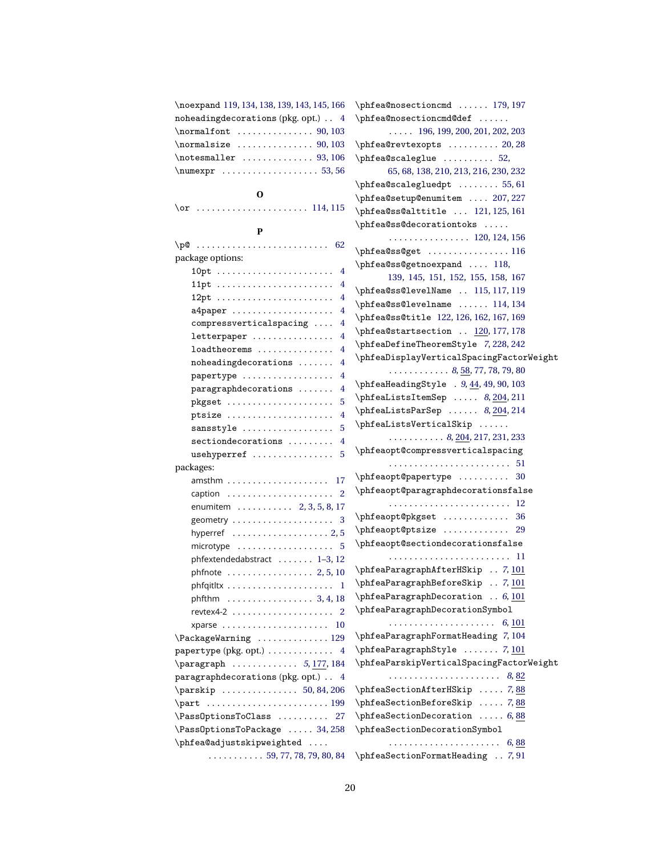| \noexpand 119, 134, 138, 139, 143, 145, 166                 | \phfea@nosectioncmd  179, 197                            |
|-------------------------------------------------------------|----------------------------------------------------------|
| noheadingdecorations (pkg. opt.) 4                          | \phfea@nosectioncmd@def                                  |
|                                                             | $\ldots$ 196, 199, 200, 201, 202, 203                    |
| $\normal$ normalsize  90, 103                               | $\phi$ 20, 28                                            |
|                                                             | $\phi$ scaleglue  52,                                    |
| $\text{numexpr} \dots \dots \dots \dots \dots 53,56$        | 65, 68, 138, 210, 213, 216, 230, 232                     |
|                                                             | $\phi$ scalegluedpt  55, 61                              |
| 0                                                           | \phfea@setup@enumitem  207,227                           |
|                                                             | \phfea@ss@alttitle  121, 125, 161                        |
|                                                             | \phfea@ss@decorationtoks                                 |
| P                                                           | 120, 124, 156                                            |
|                                                             |                                                          |
| package options:                                            | \phfea@ss@getnoexpand  118,                              |
|                                                             | 139, 145, 151, 152, 155, 158, 167                        |
|                                                             | \phfea@ss@levelName  115, 117, 119                       |
| 4                                                           | \phfea@ss@levelname  114, 134                            |
| a4paper<br>4                                                | \phfea@ss@title 122, 126, 162, 167, 169                  |
| compressverticalspacing<br>4                                | \phfea@startsection  120, 177, 178                       |
| letterpaper<br>4                                            | \phfeaDefineTheoremStyle 7, 228, 242                     |
| loadtheorems<br>4                                           | \phfeaDisplayVerticalSpacingFactorWeight                 |
| noheadingdecorations<br>4                                   | $\ldots \ldots \ldots \ldots 8, 58, 77, 78, 79, 80$      |
| papertype<br>4                                              | $\phi$ 103 \phfeaHeadingStyle . 9, 44, 49, 90, 103       |
| paragraphdecorations<br>4                                   | $\phi$ 8, 204, 211                                       |
| pkgset<br>5                                                 | $\phi$ 14,214                                            |
| ptsize<br>$\overline{4}$                                    | \phfeaListsVerticalSkip                                  |
| sansstyle<br>5                                              | $\ldots \ldots \ldots 8, \underline{204}, 217, 231, 233$ |
| $sectiondecorations$<br>4                                   | \phfeaopt@compressverticalspacing                        |
| usehyperref<br>5                                            |                                                          |
| packages:                                                   | \phfeaopt@papertype  30                                  |
| amsthm<br>17                                                | \phfeaopt@paragraphdecorationsfalse                      |
|                                                             |                                                          |
| enumitem 2, 3, 5, 8, 17                                     | \phfeaopt@pkgset  36                                     |
| geometry $\ldots \ldots \ldots \ldots \ldots \ldots$ 3      | \phfeaopt@ptsize  29                                     |
| hyperref $\ldots \ldots \ldots \ldots \ldots \ldots 2, 5$   | \phfeaopt@sectiondecorationsfalse                        |
| microtype $\ldots \ldots \ldots \ldots \ldots 5$            |                                                          |
| phfextendedabstract $1-3$ , 12                              | \phfeaParagraphAfterHSkip  7, 101                        |
| phfnote  2,5,10                                             | \phfeaParagraphBeforeSkip  7, 101                        |
|                                                             | \phfeaParagraphDecoration  6, 101                        |
| phfthm $\ldots \ldots \ldots \ldots \ldots \ldots$ 3, 4, 18 | \phfeaParagraphDecorationSymbol                          |
|                                                             |                                                          |
| xparse  10                                                  | \phfeaParagraphFormatHeading 7,104                       |
| \PackageWarning  129                                        | $\phi$ : \phfeaParagraphStyle  7, 101                    |
| papertype (pkg. opt.) 4                                     | \phfeaParskipVerticalSpacingFactorWeight                 |
| \paragraph  5, 177, 184                                     |                                                          |
| paragraphdecorations (pkg. opt.) 4                          |                                                          |
|                                                             | \phfeaSectionAfterHSkip  7,88                            |
|                                                             | \phfeaSectionBeforeSkip  7,88                            |
| \PassOptionsToClass  27                                     | $\phi$ 6,88                                              |
| \PassOptionsToPackage  34,258                               | \phfeaSectionDecorationSymbol                            |
| \phfea@adjustskipweighted                                   |                                                          |
| $\ldots \ldots \ldots 59, 77, 78, 79, 80, 84$               | \phfeaSectionFormatHeading  7,91                         |